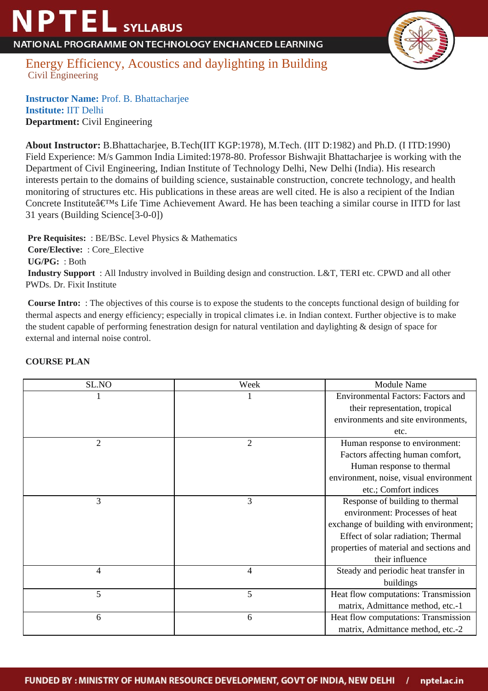## **NPTEL** SYLLABUS

NATIONAL PROGRAMME ON TECHNOLOGY ENCHANCED LEARNING

Energy Efficiency, Acoustics and daylighting in Building Civil Engineering



**Instructor Name:** Prof. B. Bhattacharjee **Institute:** IIT Delhi **Department:** Civil Engineering

**About Instructor:** B.Bhattacharjee, B.Tech(IIT KGP:1978), M.Tech. (IIT D:1982) and Ph.D. (I ITD:1990) Field Experience: M/s Gammon India Limited:1978-80. Professor Bishwajit Bhattacharjee is working with the Department of Civil Engineering, Indian Institute of Technology Delhi, New Delhi (India). His research interests pertain to the domains of building science, sustainable construction, concrete technology, and health monitoring of structures etc. His publications in these areas are well cited. He is also a recipient of the Indian Concrete Institute $\hat{a} \in T^M$ s Life Time Achievement Award. He has been teaching a similar course in IITD for last 31 years (Building Science[3-0-0])

 **Pre Requisites:** : BE/BSc. Level Physics & Mathematics  **Core/Elective:** : Core\_Elective  **UG/PG:** : Both  **Industry Support** : All Industry involved in Building design and construction. L&T, TERI etc. CPWD and all other PWDs. Dr. Fixit Institute

 **Course Intro:** : The objectives of this course is to expose the students to the concepts functional design of building for thermal aspects and energy efficiency; especially in tropical climates i.e. in Indian context. Further objective is to make the student capable of performing fenestration design for natural ventilation and daylighting & design of space for external and internal noise control.

| SL.NO | Week | <b>Module Name</b>                        |
|-------|------|-------------------------------------------|
|       |      | <b>Environmental Factors: Factors and</b> |
|       |      | their representation, tropical            |
|       |      | environments and site environments,       |
|       |      | etc.                                      |
| 2     | 2    | Human response to environment:            |
|       |      | Factors affecting human comfort,          |
|       |      | Human response to thermal                 |
|       |      | environment, noise, visual environment    |
|       |      | etc.; Comfort indices                     |
| 3     | 3    | Response of building to thermal           |
|       |      | environment: Processes of heat            |
|       |      | exchange of building with environment;    |
|       |      | Effect of solar radiation; Thermal        |
|       |      | properties of material and sections and   |
|       |      | their influence                           |
| 4     | 4    | Steady and periodic heat transfer in      |
|       |      | buildings                                 |
| 5     | 5    | Heat flow computations: Transmission      |
|       |      | matrix, Admittance method, etc.-1         |
| 6     | 6    | Heat flow computations: Transmission      |
|       |      | matrix, Admittance method, etc.-2         |

## **COURSE PLAN**